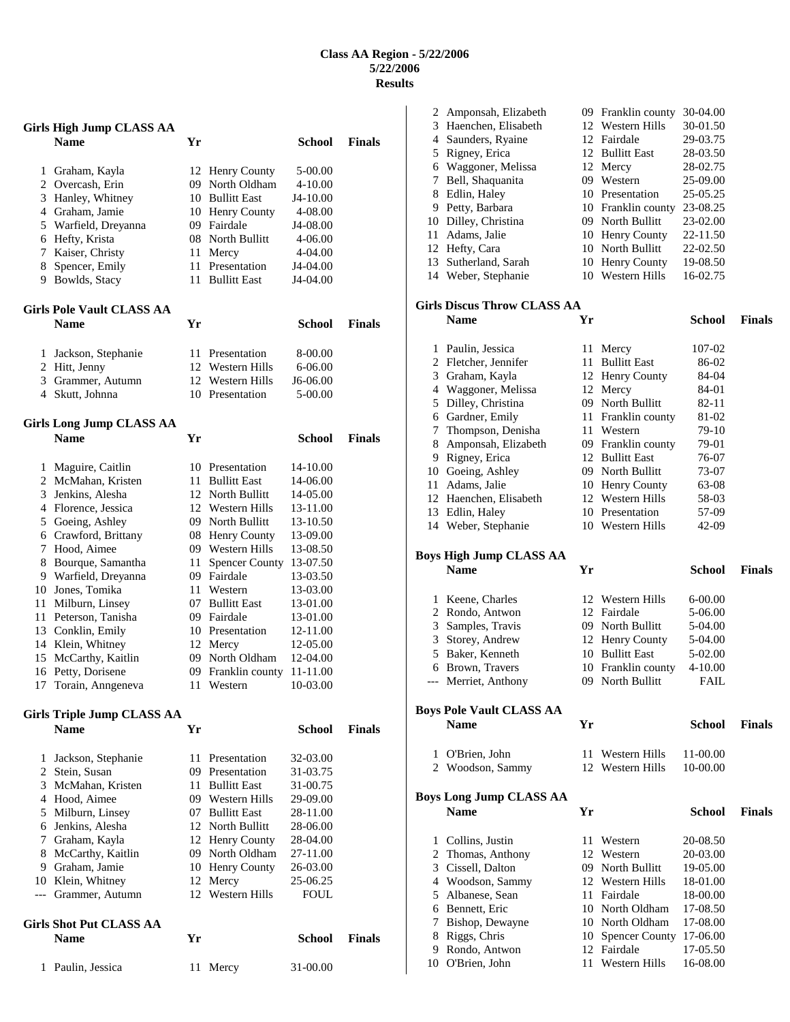## **Class AA Region - 5/22/2006 5/22/2006 Results**

|       | <b>Girls High Jump CLASS AA</b>       |           |                                      |                      |               |
|-------|---------------------------------------|-----------|--------------------------------------|----------------------|---------------|
|       | <b>Name</b>                           | Yr        |                                      | School               | <b>Finals</b> |
| 1     | Graham, Kayla                         | 12        | <b>Henry County</b>                  | 5-00.00              |               |
| 2     | Overcash, Erin                        |           | 09 North Oldham                      | 4-10.00              |               |
| 3     | Hanley, Whitney                       |           | 10 Bullitt East                      | J4-10.00             |               |
|       | 4 Graham, Jamie                       |           | 10 Henry County                      | 4-08.00              |               |
|       | 5 Warfield, Dreyanna                  |           | 09 Fairdale                          | J4-08.00             |               |
|       | 6 Hefty, Krista                       |           | 08 North Bullitt                     | 4-06.00              |               |
| 7     | Kaiser, Christy                       | 11-       | Mercy                                | 4-04.00              |               |
| 8     | Spencer, Emily<br>9 Bowlds, Stacy     | 11-<br>11 | Presentation<br><b>Bullitt East</b>  | J4-04.00<br>J4-04.00 |               |
|       | Girls Pole Vault CLASS AA             |           |                                      |                      |               |
|       | <b>Name</b>                           | Yr        |                                      | School               | <b>Finals</b> |
| 1     | Jackson, Stephanie                    | 11        | Presentation                         | 8-00.00              |               |
|       | 2 Hitt, Jenny                         |           | 12 Western Hills                     | 6-06.00              |               |
|       | 3 Grammer, Autumn                     | 12        | Western Hills                        | J6-06.00             |               |
|       | 4 Skutt, Johnna                       |           | 10 Presentation                      | 5-00.00              |               |
|       | <b>Girls Long Jump CLASS AA</b>       |           |                                      |                      |               |
|       | <b>Name</b>                           | Yr        |                                      | School               | <b>Finals</b> |
| 1     | Maguire, Caitlin                      |           | 10 Presentation                      | 14-10.00             |               |
| 2     | McMahan, Kristen                      | 11        | <b>Bullitt East</b>                  | 14-06.00             |               |
| 3     | Jenkins, Alesha                       |           | 12 North Bullitt                     | 14-05.00             |               |
|       | 4 Florence, Jessica                   |           | 12 Western Hills                     | 13-11.00             |               |
|       | 5 Goeing, Ashley                      |           | 09 North Bullitt                     | 13-10.50             |               |
|       | 6 Crawford, Brittany                  |           | 08 Henry County                      | 13-09.00             |               |
| 7     | Hood, Aimee                           |           | 09 Western Hills                     | 13-08.50             |               |
| 8     | Bourque, Samantha                     | 11        | <b>Spencer County</b><br>09 Fairdale | 13-07.50             |               |
| 10    | 9 Warfield, Dreyanna<br>Jones, Tomika | 11        | Western                              | 13-03.50<br>13-03.00 |               |
| 11    | Milburn, Linsey                       |           | 07 Bullitt East                      | 13-01.00             |               |
| 11    | Peterson, Tanisha                     |           | 09 Fairdale                          | 13-01.00             |               |
|       | 13 Conklin, Emily                     |           | 10 Presentation                      | 12-11.00             |               |
|       | 14 Klein, Whitney                     |           | 12 Mercy                             | 12-05.00             |               |
| 15    | McCarthy, Kaitlin                     |           | 09 North Oldham                      | 12-04.00             |               |
|       | 16 Petty, Dorisene                    |           | 09 Franklin county                   | 11-11.00             |               |
| 17    | Torain, Anngeneva                     | 11        | Western                              | 10-03.00             |               |
|       | <b>Girls Triple Jump CLASS AA</b>     |           |                                      |                      |               |
|       | <b>Name</b>                           | Yr        |                                      | School               | <b>Finals</b> |
| 1     | Jackson, Stephanie                    |           | 11 Presentation                      | 32-03.00             |               |
| 2     | Stein, Susan                          |           | 09 Presentation                      | 31-03.75             |               |
| 3     | McMahan, Kristen                      |           | 11 Bullitt East                      | 31-00.75             |               |
|       | 4 Hood, Aimee                         |           | 09 Western Hills                     | 29-09.00             |               |
|       | 5 Milburn, Linsey                     |           | 07 Bullitt East                      | 28-11.00             |               |
|       | 6 Jenkins, Alesha                     |           | 12 North Bullitt                     | 28-06.00             |               |
| 7     | Graham, Kayla                         |           | 12 Henry County                      | 28-04.00             |               |
| 8     | McCarthy, Kaitlin                     |           | 09 North Oldham                      | 27-11.00             |               |
|       | 9 Graham, Jamie                       | 12        | 10 Henry County                      | 26-03.00<br>25-06.25 |               |
| $---$ | 10 Klein, Whitney<br>Grammer, Autumn  |           | Mercy<br>12 Western Hills            | FOUL                 |               |
|       | <b>Girls Shot Put CLASS AA</b>        |           |                                      |                      |               |
|       | <b>Name</b>                           | Yr        |                                      | <b>School</b>        | <b>Finals</b> |
|       | 1 Paulin, Jessica                     |           |                                      | 31-00.00             |               |
|       |                                       |           | 11 Mercy                             |                      |               |

| 2     | Amponsah, Elizabeth                           |     | 09 Franklin county                 | 30-04.00             |               |
|-------|-----------------------------------------------|-----|------------------------------------|----------------------|---------------|
|       | 3 Haenchen, Elisabeth                         |     | 12 Western Hills                   | 30-01.50             |               |
| 4     | Saunders, Ryaine                              |     | 12 Fairdale                        | 29-03.75             |               |
|       | 5 Rigney, Erica                               |     | 12 Bullitt East                    | 28-03.50             |               |
|       | 6 Waggoner, Melissa                           |     | 12 Mercy                           | 28-02.75             |               |
| 7     | Bell, Shaquanita                              |     | 09 Western                         | 25-09.00             |               |
| 8     | Edlin, Haley                                  |     | 10 Presentation                    | 25-05.25             |               |
|       | 9 Petty, Barbara                              |     | 10 Franklin county                 | 23-08.25             |               |
|       | 10 Dilley, Christina                          |     | 09 North Bullitt                   | 23-02.00             |               |
| 11    | Adams, Jalie                                  |     | 10 Henry County                    | 22-11.50             |               |
|       | 12 Hefty, Cara                                |     | 10 North Bullitt                   | 22-02.50             |               |
|       | 13 Sutherland, Sarah                          |     | 10 Henry County                    | 19-08.50             |               |
|       | 14 Weber, Stephanie                           |     | 10 Western Hills                   | 16-02.75             |               |
|       | <b>Girls Discus Throw CLASS AA</b>            |     |                                    |                      |               |
|       | <b>Name</b>                                   | Yr  |                                    | <b>School</b>        | <b>Finals</b> |
|       |                                               |     |                                    |                      |               |
| 1     | Paulin, Jessica                               | 11  | Mercy                              | 107-02               |               |
|       | 2 Fletcher, Jennifer                          | 11  | <b>Bullitt East</b>                | 86-02                |               |
|       | 3 Graham, Kayla                               |     | 12 Henry County                    | 84-04                |               |
|       | 4 Waggoner, Melissa                           |     | 12 Mercy                           | 84-01                |               |
| 5     | Dilley, Christina                             |     | 09 North Bullitt                   | 82-11                |               |
|       | 6 Gardner, Emily                              | 11  | Franklin county                    | 81-02                |               |
| 7     | Thompson, Denisha                             |     | 11 Western                         | 79-10                |               |
| 8     | Amponsah, Elizabeth                           |     | 09 Franklin county                 | 79-01                |               |
| 9     | Rigney, Erica                                 |     | 12 Bullitt East                    | 76-07                |               |
|       | 10 Goeing, Ashley                             |     | 09 North Bullitt                   | 73-07                |               |
| 11    | Adams, Jalie                                  |     | 10 Henry County                    | 63-08                |               |
|       | 12 Haenchen, Elisabeth                        |     | 12 Western Hills                   | 58-03                |               |
|       | 13 Edlin, Haley                               |     | 10 Presentation                    | 57-09                |               |
|       | 14 Weber, Stephanie                           |     | 10 Western Hills                   | 42-09                |               |
|       |                                               |     |                                    |                      |               |
|       | <b>Boys High Jump CLASS AA</b>                |     |                                    |                      |               |
|       | <b>Name</b>                                   | Yr  |                                    | <b>School</b>        | <b>Finals</b> |
| 1     | Keene, Charles                                |     | 12 Western Hills                   | 6-00.00              |               |
| 2     | Rondo, Antwon                                 |     | 12 Fairdale                        | 5-06.00              |               |
| 3     | Samples, Travis                               |     | 09 North Bullitt                   | 5-04.00              |               |
| 3     |                                               |     |                                    |                      |               |
| 5     | Storey, Andrew<br>Baker, Kenneth              |     | 12 Henry County<br>10 Bullitt East | 5-04.00<br>5-02.00   |               |
|       | 6 Brown, Travers                              |     | 10 Franklin county                 | 4-10.00              |               |
| $---$ |                                               | 09  |                                    | FAIL                 |               |
|       | Merriet, Anthony                              |     | North Bullitt                      |                      |               |
|       | <b>Boys Pole Vault CLASS AA</b>               |     |                                    |                      |               |
|       | <b>Name</b>                                   | Yr  |                                    | School               | <b>Finals</b> |
| 1     | O'Brien, John                                 | 11  | Western Hills                      | 11-00.00             |               |
|       | 2 Woodson, Sammy                              |     | 12 Western Hills                   | 10-00.00             |               |
|       |                                               |     |                                    |                      |               |
|       | <b>Boys Long Jump CLASS AA</b><br><b>Name</b> | Yr  |                                    | School               | <b>Finals</b> |
|       |                                               |     |                                    |                      |               |
| 1     | Collins, Justin                               | 11- | Western                            | 20-08.50             |               |
|       | 2 Thomas, Anthony                             |     | 12 Western                         | 20-03.00             |               |
|       | 3 Cissell, Dalton                             |     | 09 North Bullitt                   | 19-05.00             |               |
|       | 4 Woodson, Sammy                              |     | 12 Western Hills                   | 18-01.00             |               |
|       | 5 Albanese, Sean                              |     | 11 Fairdale                        | 18-00.00             |               |
|       | 6 Bennett, Eric                               |     | 10 North Oldham                    | 17-08.50             |               |
| 7     | Bishop, Dewayne                               |     | 10 North Oldham                    | 17-08.00             |               |
| 8     | Riggs, Chris                                  |     | 10 Spencer County                  | 17-06.00             |               |
|       | 9 Rondo, Antwon<br>10 O'Brien, John           |     | 12 Fairdale<br>11 Western Hills    | 17-05.50<br>16-08.00 |               |